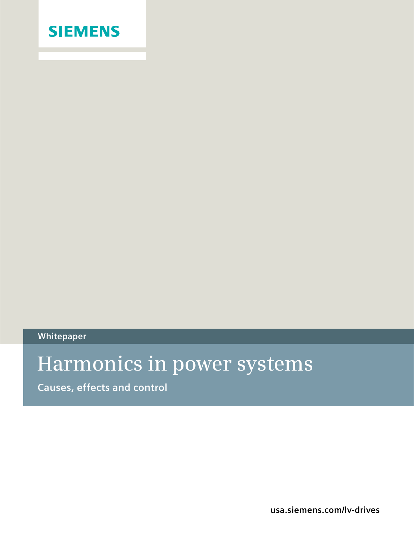

**Whitepaper**

# **Harmonics in power systems**

**Causes, effects and control**

**usa.siemens.com/lv-drives**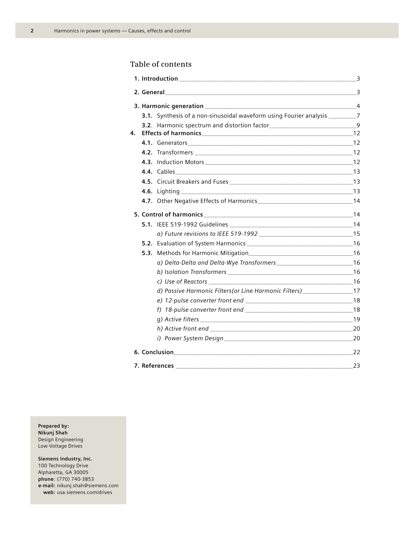$\overline{2}$ 

# Table of contents

|    |  | 2. General 3                                                                       |    |  |  |  |
|----|--|------------------------------------------------------------------------------------|----|--|--|--|
|    |  |                                                                                    |    |  |  |  |
|    |  | 3.1. Synthesis of a non-sinusoidal waveform using Fourier analysis ____________7   |    |  |  |  |
|    |  | 3.2. Harmonic spectrum and distortion factor___________________________________9   |    |  |  |  |
| 4. |  |                                                                                    |    |  |  |  |
|    |  |                                                                                    |    |  |  |  |
|    |  |                                                                                    |    |  |  |  |
|    |  |                                                                                    |    |  |  |  |
|    |  |                                                                                    |    |  |  |  |
|    |  |                                                                                    |    |  |  |  |
|    |  |                                                                                    |    |  |  |  |
|    |  |                                                                                    |    |  |  |  |
|    |  |                                                                                    |    |  |  |  |
|    |  |                                                                                    |    |  |  |  |
|    |  |                                                                                    |    |  |  |  |
|    |  |                                                                                    |    |  |  |  |
|    |  |                                                                                    |    |  |  |  |
|    |  |                                                                                    |    |  |  |  |
|    |  |                                                                                    |    |  |  |  |
|    |  |                                                                                    |    |  |  |  |
|    |  | d) Passive Harmonic Filters (or Line Harmonic Filters) _________________________17 |    |  |  |  |
|    |  |                                                                                    |    |  |  |  |
|    |  |                                                                                    |    |  |  |  |
|    |  |                                                                                    |    |  |  |  |
|    |  |                                                                                    |    |  |  |  |
|    |  |                                                                                    |    |  |  |  |
|    |  |                                                                                    |    |  |  |  |
|    |  | 7. References                                                                      | 23 |  |  |  |

Prepared by: Nikunj Shah Design Engineering Low-Voltage Drives

# Siemens Industry, Inc.

100 Technology Drive Alpharetta, GA 30005 phone: (770) 740-3853 e-mail: nikunj.shah@siemens.com web: usa.siemens.com/drives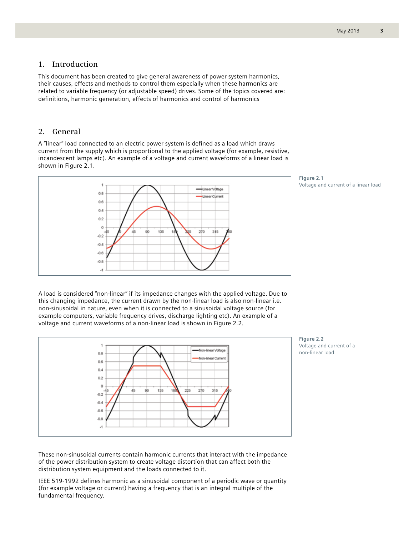# **1. Introduction**

This document has been created to give general awareness of power system harmonics, their causes, effects and methods to control them especially when these harmonics are related to variable frequency (or adjustable speed) drives. Some of the topics covered are: definitions, harmonic generation, effects of harmonics and control of harmonics

# **2. General**

A "linear" load connected to an electric power system is defined as a load which draws current from the supply which is proportional to the applied voltage (for example, resistive, incandescent lamps etc). An example of a voltage and current waveforms of a linear load is shown in Figure 2.1.



**Figure 2.1**  Voltage and current of a linear load

A load is considered "non-linear" if its impedance changes with the applied voltage. Due to this changing impedance, the current drawn by the non-linear load is also non-linear i.e. non-sinusoidal in nature, even when it is connected to a sinusoidal voltage source (for example computers, variable frequency drives, discharge lighting etc). An example of a voltage and current waveforms of a non-linear load is shown in Figure 2.2.





These non-sinusoidal currents contain harmonic currents that interact with the impedance of the power distribution system to create voltage distortion that can affect both the distribution system equipment and the loads connected to it.

IEEE 519-1992 defines harmonic as a sinusoidal component of a periodic wave or quantity (for example voltage or current) having a frequency that is an integral multiple of the fundamental frequency.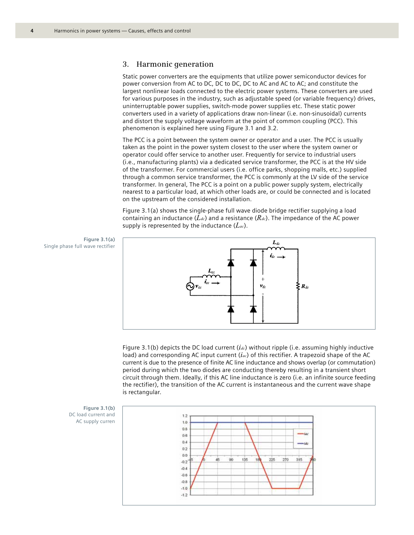## **3. Harmonic generation**

Static power converters are the equipments that utilize power semiconductor devices for power conversion from AC to DC, DC to DC, DC to AC and AC to AC; and constitute the largest nonlinear loads connected to the electric power systems. These converters are used for various purposes in the industry, such as adjustable speed (or variable frequency) drives, uninterruptable power supplies, switch-mode power supplies etc. These static power converters used in a variety of applications draw non-linear (i.e. non-sinusoidal) currents and distort the supply voltage waveform at the point of common coupling (PCC). This phenomenon is explained here using Figure 3.1 and 3.2.

The PCC is a point between the system owner or operator and a user. The PCC is usually taken as the point in the power system closest to the user where the system owner or operator could offer service to another user. Frequently for service to industrial users (i.e., manufacturing plants) via a dedicated service transformer, the PCC is at the HV side of the transformer. For commercial users (i.e. office parks, shopping malls, etc.) supplied through a common service transformer, the PCC is commonly at the LV side of the service transformer. In general, The PCC is a point on a public power supply system, electrically nearest to a particular load, at which other loads are, or could be connected and is located on the upstream of the considered installation.

Figure 3.1(a) shows the single-phase full wave diode bridge rectifier supplying a load containing an inductance  $(L_{dc})$  and a resistance  $(R_{dc})$ . The impedance of the AC power supply is represented by the inductance (*Lac*).

**Figure 3.1(a)** Single phase full wave rectifier



Figure 3.1(b) depicts the DC load current (*idc*) without ripple (i.e. assuming highly inductive load) and corresponding AC input current (*iac*) of this rectifier. A trapezoid shape of the AC current is due to the presence of finite AC line inductance and shows overlap (or commutation) period during which the two diodes are conducting thereby resulting in a transient short circuit through them. Ideally, if this AC line inductance is zero (i.e. an infinite source feeding the rectifier), the transition of the AC current is instantaneous and the current wave shape is rectangular.

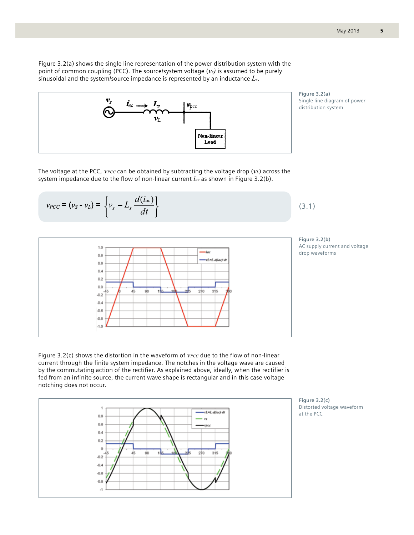Figure 3.2(a) shows the single line representation of the power distribution system with the point of common coupling (PCC). The source/system voltage  $(v_s)$  is assumed to be purely sinusoidal and the system/source impedance is represented by an inductance *Ls*.



**Figure 3.2(a)**  Single line diagram of power distribution system

The voltage at the PCC, *VPCC* can be obtained by subtracting the voltage drop (*VL*) across the system impedance due to the flow of non-linear current *iac* as shown in Figure 3.2(b).

$$
v_{PCC} = (v_S - v_L) = \left\{ v_s - L_s \frac{d(i_{ac})}{dt} \right\}
$$



**Figure 3.2(b)**  AC supply current and voltage drop waveforms

(3.1)

Figure 3.2(c) shows the distortion in the waveform of *VPCC* due to the flow of non-linear current through the finite system impedance. The notches in the voltage wave are caused by the commutating action of the rectifier. As explained above, ideally, when the rectifier is fed from an infinite source, the current wave shape is rectangular and in this case voltage notching does not occur.



**Figure 3.2(c)**  Distorted voltage waveform at the PCC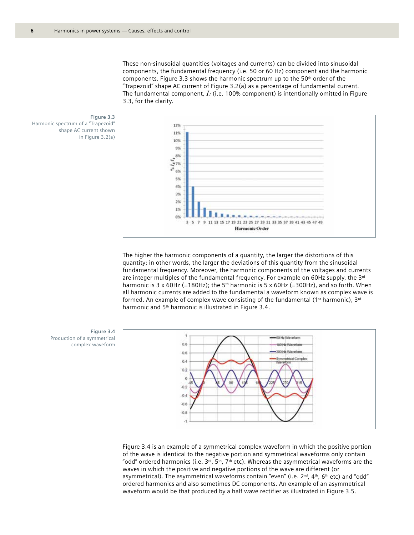These non-sinusoidal quantities (voltages and currents) can be divided into sinusoidal components, the fundamental frequency (i.e. 50 or 60 Hz) component and the harmonic components. Figure 3.3 shows the harmonic spectrum up to the  $50<sup>th</sup>$  order of the "Trapezoid" shape AC current of Figure 3.2(a) as a percentage of fundamental current. The fundamental component, *I1* (i.e. 100% component) is intentionally omitted in Figure 3.3, for the clarity.





The higher the harmonic components of a quantity, the larger the distortions of this quantity; in other words, the larger the deviations of this quantity from the sinusoidal fundamental frequency. Moreover, the harmonic components of the voltages and currents are integer multiples of the fundamental frequency. For example on 60Hz supply, the  $3<sup>rd</sup>$ harmonic is 3 x 60Hz (=180Hz); the 5<sup>th</sup> harmonic is 5 x 60Hz (=300Hz), and so forth. When all harmonic currents are added to the fundamental a waveform known as complex wave is formed. An example of complex wave consisting of the fundamental (1st harmonic),  $3^{rd}$ harmonic and 5<sup>th</sup> harmonic is illustrated in Figure 3.4.



Figure 3.4 is an example of a symmetrical complex waveform in which the positive portion of the wave is identical to the negative portion and symmetrical waveforms only contain "odd" ordered harmonics (i.e.  $3<sup>rd</sup>$ ,  $5<sup>th</sup>$ ,  $7<sup>th</sup>$  etc). Whereas the asymmetrical waveforms are the waves in which the positive and negative portions of the wave are different (or asymmetrical). The asymmetrical waveforms contain "even" (i.e.  $2^{nd}$ ,  $4^{th}$ ,  $6^{th}$  etc) and "odd" ordered harmonics and also sometimes DC components. An example of an asymmetrical waveform would be that produced by a half wave rectifier as illustrated in Figure 3.5.

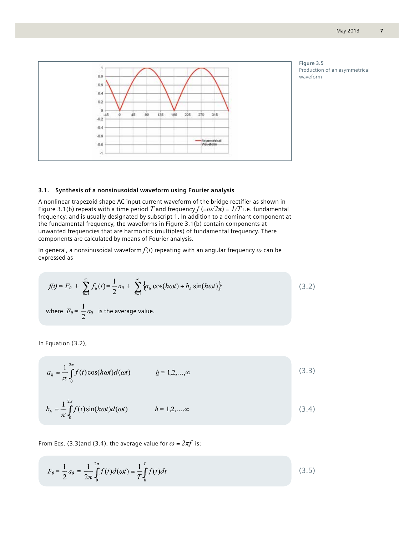

#### **3.1. Synthesis of a nonsinusoidal waveform using Fourier analysis**

A nonlinear trapezoid shape AC input current waveform of the bridge rectifier as shown in Figure 3.1(b) repeats with a time period *T* and frequency  $f (= \omega/2\pi) = 1/T$  i.e. fundamental frequency, and is usually designated by subscript 1. In addition to a dominant component at the fundamental frequency, the waveforms in Figure 3.1(b) contain components at unwanted frequencies that are harmonics (multiples) of fundamental frequency. There components are calculated by means of Fourier analysis.

In general, a nonsinusoidal waveform *f*(*t*) repeating with an angular frequency *ω* can be expressed as

$$
f(t) = F_0 + \sum_{h=1}^{\infty} f_h(t) = \frac{1}{2} a_0 + \sum_{h=1}^{\infty} \{a_h \cos(h\omega t) + b_h \sin(h\omega t)\}
$$
(3.2)  
where  $F_0 = \frac{1}{2} a_0$  is the average value.

In Equation (3.2),

$$
a_h = \frac{1}{\pi} \int_0^{2\pi} f(t) \cos(h\omega t) d(\omega t) \qquad \qquad \underline{h} = 1, 2, \dots, \infty
$$
\n
$$
b_h = \frac{1}{\pi} \int_0^{2\pi} f(t) \sin(h\omega t) d(\omega t) \qquad \qquad \underline{h} = 1, 2, \dots, \infty
$$
\n
$$
(3.4)
$$

From Eqs. (3.3)and (3.4), the average value for  $\omega = 2\pi f$  is:

$$
F_0 = \frac{1}{2} a_0 = \frac{1}{2\pi} \int_0^{2\pi} f(t) d(\omega t) = \frac{1}{T} \int_0^T f(t) dt
$$
\n(3.5)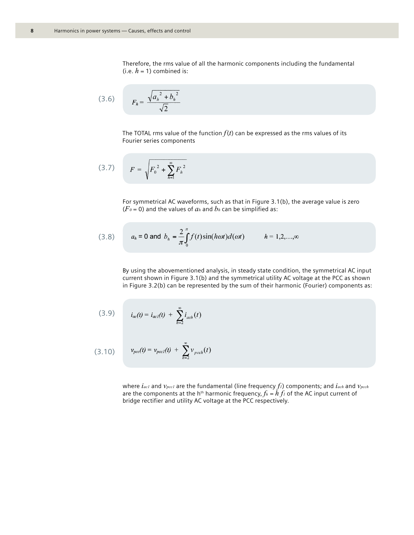Therefore, the rms value of all the harmonic components including the fundamental (i.e.  $h = 1$ ) combined is:

$$
(3.6) \tFh = \frac{\sqrt{a_h^2 + b_h^2}}{\sqrt{2}}
$$

The TOTAL rms value of the function  $f(t)$  can be expressed as the rms values of its Fourier series components

$$
(3.7) \tF = \sqrt{F_0^2 + \sum_{h=1}^{\infty} F_h^2}
$$

For symmetrical AC waveforms, such as that in Figure 3.1(b), the average value is zero  $(F_0 = 0)$  and the values of  $a_h$  and  $b_h$  can be simplified as:

(3.8) 
$$
a_h = 0
$$
 and  $b_h = \frac{2}{\pi} \int_0^{\pi} f(t) \sin(h \omega t) d(\omega t)$   $h = 1, 2, ..., \infty$ 

By using the abovementioned analysis, in steady state condition, the symmetrical AC input current shown in Figure 3.1(b) and the symmetrical utility AC voltage at the PCC as shown in Figure 3.2(b) can be represented by the sum of their harmonic (Fourier) components as:

(3.9) 
$$
i_{ac}(t) = i_{ac1}(t) + \sum_{h=2}^{\infty} i_{ach}(t)
$$

(3.10) 
$$
v_{pcc}(t) = v_{pcc}(t) + \sum_{h=2}^{\infty} v_{pcc}(t)
$$

where *iac1* and *vpcc1* are the fundamental (line frequency *f1*) components; and *iach* and *vpcch* are the components at the h<sup>th</sup> harmonic frequency,  $f_h = h f_l$  of the AC input current of bridge rectifier and utility AC voltage at the PCC respectively.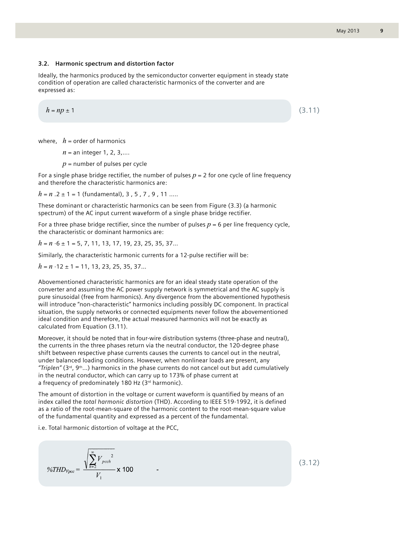(3.11)

#### **3.2. Harmonic spectrum and distortion factor**

Ideally, the harmonics produced by the semiconductor converter equipment in steady state condition of operation are called characteristic harmonics of the converter and are expressed as:

$$
h=np\pm 1
$$

where,  $h =$  order of harmonics

*n* = an integer 1, 2, 3,….

*p* = number of pulses per cycle

For a single phase bridge rectifier, the number of pulses  $p = 2$  for one cycle of line frequency and therefore the characteristic harmonics are:

*h* = *n* .2 ± 1 = 1 (fundamental), 3 , 5 , 7 , 9 , 11 …..

These dominant or characteristic harmonics can be seen from Figure (3.3) (a harmonic spectrum) of the AC input current waveform of a single phase bridge rectifier.

For a three phase bridge rectifier, since the number of pulses  $p = 6$  per line frequency cycle, the characteristic or dominant harmonics are:

*h* = *n* ⋅6 ± 1 = 5, 7, 11, 13, 17, 19, 23, 25, 35, 37…

Similarly, the characteristic harmonic currents for a 12-pulse rectifier will be:

*h* = *n* ⋅12 ± 1 = 11, 13, 23, 25, 35, 37…

Abovementioned characteristic harmonics are for an ideal steady state operation of the converter and assuming the AC power supply network is symmetrical and the AC supply is pure sinusoidal (free from harmonics). Any divergence from the abovementioned hypothesis will introduce "non-characteristic" harmonics including possibly DC component. In practical situation, the supply networks or connected equipments never follow the abovementioned ideal condition and therefore, the actual measured harmonics will not be exactly as calculated from Equation (3.11).

Moreover, it should be noted that in four-wire distribution systems (three-phase and neutral), the currents in the three phases return via the neutral conductor, the 120-degree phase shift between respective phase currents causes the currents to cancel out in the neutral, under balanced loading conditions. However, when nonlinear loads are present, any *"Triplen"* (3rd, 9th…) harmonics in the phase currents do not cancel out but add cumulatively in the neutral conductor, which can carry up to 173% of phase current at a frequency of predominately 180 Hz (3rd harmonic).

The amount of distortion in the voltage or current waveform is quantified by means of an index called the *total harmonic distortion* (THD). According to IEEE 519-1992, it is defined as a ratio of the root-mean-square of the harmonic content to the root-mean-square value of the fundamental quantity and expressed as a percent of the fundamental.

i.e. Total harmonic distortion of voltage at the PCC,

$$
\%THD_{\gamma_{pcc}} = \frac{\sqrt{\sum_{h=2}^{\infty} V_{pcch}^2}}{V_1} \times 100
$$

(3.12)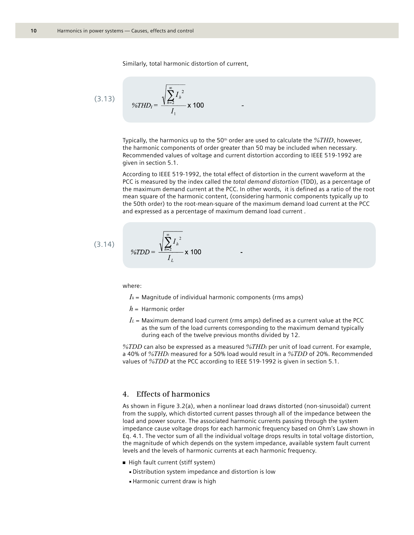Similarly, total harmonic distortion of current,

(3.13) 
$$
\%THD_{l} = \frac{\sqrt{\sum_{h=2}^{\infty} I_{h}^{2}}}{I_{1}} \times 100
$$

Typically, the harmonics up to the 50<sup>th</sup> order are used to calculate the  $\frac{\%THD}{}$ , however, the harmonic components of order greater than 50 may be included when necessary. Recommended values of voltage and current distortion according to IEEE 519-1992 are given in section 5.1.

According to IEEE 519-1992, the total effect of distortion in the current waveform at the PCC is measured by the index called the *total demand distortion* (TDD), as a percentage of the maximum demand current at the PCC. In other words, it is defined as a ratio of the root mean square of the harmonic content, (considering harmonic components typically up to the 50th order) to the root-mean-square of the maximum demand load current at the PCC and expressed as a percentage of maximum demand load current .

(3.14) 
$$
\%TDD = \frac{\sqrt{\sum_{h=2}^{\infty} I_h^2}}{I_L} \times 100
$$

where:

- $I<sub>h</sub>$  = Magnitude of individual harmonic components (rms amps)
- *h* = Harmonic order
- $I_L$  = Maximum demand load current (rms amps) defined as a current value at the PCC as the sum of the load currents corresponding to the maximum demand typically during each of the twelve previous months divided by 12.

*%TDD* can also be expressed as a measured *%THDI* per unit of load current. For example, a 40% of *%THDI* measured for a 50% load would result in a *%TDD* of 20%. Recommended values of *%TDD* at the PCC according to IEEE 519-1992 is given in section 5.1.

# **4. Effects of harmonics**

As shown in Figure 3.2(a), when a nonlinear load draws distorted (non-sinusoidal) current from the supply, which distorted current passes through all of the impedance between the load and power source. The associated harmonic currents passing through the system impedance cause voltage drops for each harmonic frequency based on Ohm's Law shown in Eq. 4.1. The vector sum of all the individual voltage drops results in total voltage distortion, the magnitude of which depends on the system impedance, available system fault current levels and the levels of harmonic currents at each harmonic frequency.

- High fault current (stiff system)
	- <sup>n</sup> Distribution system impedance and distortion is low
	- Harmonic current draw is high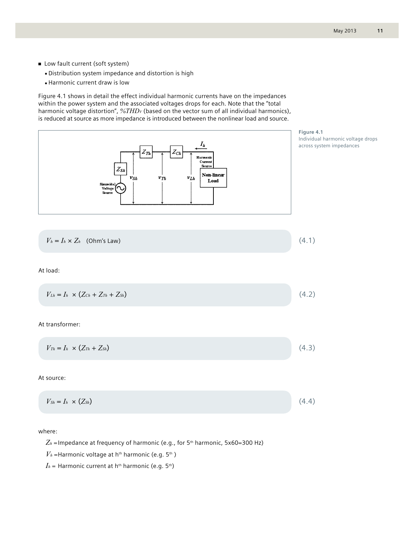- Low fault current (soft system)
	- **Distribution system impedance and distortion is high**
	- **Harmonic current draw is low**

Figure 4.1 shows in detail the effect individual harmonic currents have on the impedances within the power system and the associated voltages drops for each. Note that the "total harmonic voltage distortion",  $\%THD_V$  (based on the vector sum of all individual harmonics), is reduced at source as more impedance is introduced between the nonlinear load and source.



where:

 $Z_h$  = Impedance at frequency of harmonic (e.g., for 5<sup>th</sup> harmonic, 5x60=300 Hz)

 $V_h$  =Harmonic voltage at h<sup>th</sup> harmonic (e.g. 5<sup>th</sup>)

 $I_h$  = Harmonic current at h<sup>th</sup> harmonic (e.g. 5<sup>th</sup>)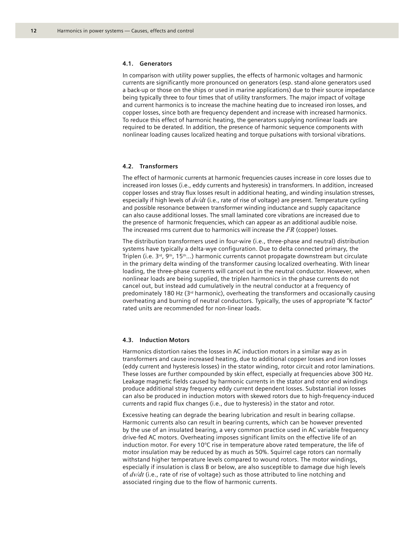#### **4.1. Generators**

In comparison with utility power supplies, the effects of harmonic voltages and harmonic currents are significantly more pronounced on generators (esp. stand-alone generators used a back-up or those on the ships or used in marine applications) due to their source impedance being typically three to four times that of utility transformers. The major impact of voltage and current harmonics is to increase the machine heating due to increased iron losses, and copper losses, since both are frequency dependent and increase with increased harmonics. To reduce this effect of harmonic heating, the generators supplying nonlinear loads are required to be derated. In addition, the presence of harmonic sequence components with nonlinear loading causes localized heating and torque pulsations with torsional vibrations.

## **4.2. Transformers**

The effect of harmonic currents at harmonic frequencies causes increase in core losses due to increased iron losses (i.e., eddy currents and hysteresis) in transformers. In addition, increased copper losses and stray flux losses result in additional heating, and winding insulation stresses, especially if high levels of *dv/dt* (i.e., rate of rise of voltage) are present. Temperature cycling and possible resonance between transformer winding inductance and supply capacitance can also cause additional losses. The small laminated core vibrations are increased due to the presence of harmonic frequencies, which can appear as an additional audible noise. The increased rms current due to harmonics will increase the *I<sup>2</sup> R* (copper) losses.

The distribution transformers used in four-wire (i.e., three-phase and neutral) distribution systems have typically a delta-wye configuration. Due to delta connected primary, the Triplen (i.e.  $3^{rd}$ ,  $9^{th}$ ,  $15^{th}$ ...) harmonic currents cannot propagate downstream but circulate in the primary delta winding of the transformer causing localized overheating. With linear loading, the three-phase currents will cancel out in the neutral conductor. However, when nonlinear loads are being supplied, the triplen harmonics in the phase currents do not cancel out, but instead add cumulatively in the neutral conductor at a frequency of predominately 180 Hz ( $3<sup>rd</sup>$  harmonic), overheating the transformers and occasionally causing overheating and burning of neutral conductors. Typically, the uses of appropriate "K factor" rated units are recommended for non-linear loads.

#### **4.3. Induction Motors**

Harmonics distortion raises the losses in AC induction motors in a similar way as in transformers and cause increased heating, due to additional copper losses and iron losses (eddy current and hysteresis losses) in the stator winding, rotor circuit and rotor laminations. These losses are further compounded by skin effect, especially at frequencies above 300 Hz. Leakage magnetic fields caused by harmonic currents in the stator and rotor end windings produce additional stray frequency eddy current dependent losses. Substantial iron losses can also be produced in induction motors with skewed rotors due to high-frequency-induced currents and rapid flux changes (i.e., due to hysteresis) in the stator and rotor.

Excessive heating can degrade the bearing lubrication and result in bearing collapse. Harmonic currents also can result in bearing currents, which can be however prevented by the use of an insulated bearing, a very common practice used in AC variable frequency drive-fed AC motors. Overheating imposes significant limits on the effective life of an induction motor. For every 10°C rise in temperature above rated temperature, the life of motor insulation may be reduced by as much as 50%. Squirrel cage rotors can normally withstand higher temperature levels compared to wound rotors. The motor windings, especially if insulation is class B or below, are also susceptible to damage due high levels of *dv/dt* (i.e., rate of rise of voltage) such as those attributed to line notching and associated ringing due to the flow of harmonic currents.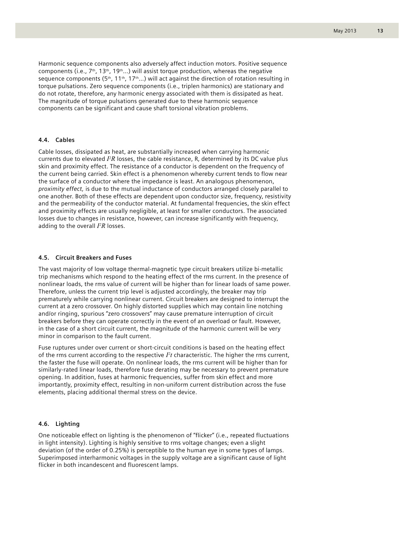Harmonic sequence components also adversely affect induction motors. Positive sequence components (i.e.,  $7<sup>th</sup>$ , 13<sup>th</sup>, 19<sup>th</sup>...) will assist torque production, whereas the negative sequence components (5<sup>th</sup>, 11<sup>th</sup>, 17<sup>th</sup>...) will act against the direction of rotation resulting in torque pulsations. Zero sequence components (i.e., triplen harmonics) are stationary and do not rotate, therefore, any harmonic energy associated with them is dissipated as heat. The magnitude of torque pulsations generated due to these harmonic sequence components can be significant and cause shaft torsional vibration problems.

#### **4.4. Cables**

Cable losses, dissipated as heat, are substantially increased when carrying harmonic currents due to elevated *I<sup>2</sup>R* losses, the cable resistance, R, determined by its DC value plus skin and proximity effect. The resistance of a conductor is dependent on the frequency of the current being carried. Skin effect is a phenomenon whereby current tends to flow near the surface of a conductor where the impedance is least. An analogous phenomenon, *proximity effect,* is due to the mutual inductance of conductors arranged closely parallel to one another. Both of these effects are dependent upon conductor size, frequency, resistivity and the permeability of the conductor material. At fundamental frequencies, the skin effect and proximity effects are usually negligible, at least for smaller conductors. The associated losses due to changes in resistance, however, can increase significantly with frequency, adding to the overall *I<sup>2</sup> R* losses.

#### **4.5. Circuit Breakers and Fuses**

The vast majority of low voltage thermal-magnetic type circuit breakers utilize bi-metallic trip mechanisms which respond to the heating effect of the rms current. In the presence of nonlinear loads, the rms value of current will be higher than for linear loads of same power. Therefore, unless the current trip level is adjusted accordingly, the breaker may trip prematurely while carrying nonlinear current. Circuit breakers are designed to interrupt the current at a zero crossover. On highly distorted supplies which may contain line notching and/or ringing, spurious "zero crossovers" may cause premature interruption of circuit breakers before they can operate correctly in the event of an overload or fault. However, in the case of a short circuit current, the magnitude of the harmonic current will be very minor in comparison to the fault current.

Fuse ruptures under over current or short-circuit conditions is based on the heating effect of the rms current according to the respective  $P_t$  characteristic. The higher the rms current, the faster the fuse will operate. On nonlinear loads, the rms current will be higher than for similarly-rated linear loads, therefore fuse derating may be necessary to prevent premature opening. In addition, fuses at harmonic frequencies, suffer from skin effect and more importantly, proximity effect, resulting in non-uniform current distribution across the fuse elements, placing additional thermal stress on the device.

#### **4.6. Lighting**

One noticeable effect on lighting is the phenomenon of "flicker" (i.e., repeated fluctuations in light intensity). Lighting is highly sensitive to rms voltage changes; even a slight deviation (of the order of 0.25%) is perceptible to the human eye in some types of lamps. Superimposed interharmonic voltages in the supply voltage are a significant cause of light flicker in both incandescent and fluorescent lamps.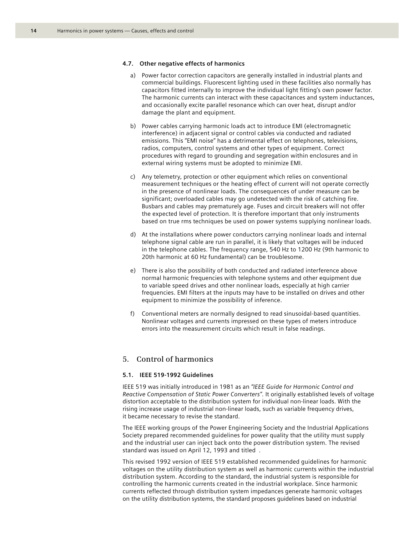#### **4.7. Other negative effects of harmonics**

- a) Power factor correction capacitors are generally installed in industrial plants and commercial buildings. Fluorescent lighting used in these facilities also normally has capacitors fitted internally to improve the individual light fitting's own power factor. The harmonic currents can interact with these capacitances and system inductances, and occasionally excite parallel resonance which can over heat, disrupt and/or damage the plant and equipment.
- b) Power cables carrying harmonic loads act to introduce EMI (electromagnetic interference) in adjacent signal or control cables via conducted and radiated emissions. This "EMI noise" has a detrimental effect on telephones, televisions, radios, computers, control systems and other types of equipment. Correct procedures with regard to grounding and segregation within enclosures and in external wiring systems must be adopted to minimize EMI.
- c) Any telemetry, protection or other equipment which relies on conventional measurement techniques or the heating effect of current will not operate correctly in the presence of nonlinear loads. The consequences of under measure can be significant; overloaded cables may go undetected with the risk of catching fire. Busbars and cables may prematurely age. Fuses and circuit breakers will not offer the expected level of protection. It is therefore important that only instruments based on true rms techniques be used on power systems supplying nonlinear loads.
- d) At the installations where power conductors carrying nonlinear loads and internal telephone signal cable are run in parallel, it is likely that voltages will be induced in the telephone cables. The frequency range, 540 Hz to 1200 Hz (9th harmonic to 20th harmonic at 60 Hz fundamental) can be troublesome.
- e) There is also the possibility of both conducted and radiated interference above normal harmonic frequencies with telephone systems and other equipment due to variable speed drives and other nonlinear loads, especially at high carrier frequencies. EMI filters at the inputs may have to be installed on drives and other equipment to minimize the possibility of inference.
- f) Conventional meters are normally designed to read sinusoidal-based quantities. Nonlinear voltages and currents impressed on these types of meters introduce errors into the measurement circuits which result in false readings.

# **5. Control of harmonics**

# **5.1. IEEE 519-1992 Guidelines**

IEEE 519 was initially introduced in 1981 as an *"IEEE Guide for Harmonic Control and Reactive Compensation of Static Power Converters"*. It originally established levels of voltage distortion acceptable to the distribution system for individual non-linear loads. With the rising increase usage of industrial non-linear loads, such as variable frequency drives, it became necessary to revise the standard.

The IEEE working groups of the Power Engineering Society and the Industrial Applications Society prepared recommended guidelines for power quality that the utility must supply and the industrial user can inject back onto the power distribution system. The revised standard was issued on April 12, 1993 and titled .

This revised 1992 version of IEEE 519 established recommended guidelines for harmonic voltages on the utility distribution system as well as harmonic currents within the industrial distribution system. According to the standard, the industrial system is responsible for controlling the harmonic currents created in the industrial workplace. Since harmonic currents reflected through distribution system impedances generate harmonic voltages on the utility distribution systems, the standard proposes guidelines based on industrial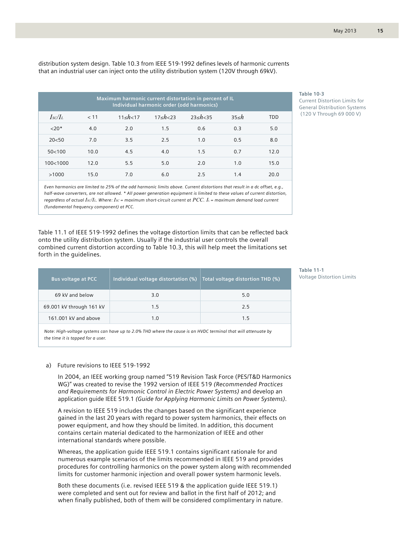distribution system design. Table 10.3 from IEEE 519-1992 defines levels of harmonic currents that an industrial user can inject onto the utility distribution system (120V through 69kV).

| Maximum harmonic current distortation in percent of IL<br>Individual harmonic order (odd harmonics) |      |                 |             |                 |             |            |  |  |
|-----------------------------------------------------------------------------------------------------|------|-----------------|-------------|-----------------|-------------|------------|--|--|
| $I_{SC}/I_L$                                                                                        | < 11 | $11 \le h < 17$ | 17 < h < 23 | $23 \le h < 35$ | $35 \leq h$ | <b>TDD</b> |  |  |
| $20*$                                                                                               | 4.0  | 2.0             | 1.5         | 0.6             | 0.3         | 5.0        |  |  |
| 20< 50                                                                                              | 7.0  | 3.5             | 2.5         | 1.0             | 0.5         | 8.0        |  |  |
| 50<100                                                                                              | 10.0 | 4.5             | 4.0         | 1.5             | 0.7         | 12.0       |  |  |
| 100<1000                                                                                            | 12.0 | 5.5             | 5.0         | 2.0             | 1.0         | 15.0       |  |  |
| >1000                                                                                               | 15.0 | 7.0             | 6.0         | 2.5             | 1.4         | 20.0       |  |  |

**Table 10-3** Current Distortion Limits for General Distribution Systems (120 V Through 69 000 V)

*Even harmonics are limited to 25% of the odd harmonic limits above. Current distortions that result in a dc offset, e.g., half-wave converters, are not allowed. \* All power generation equipment is limited to these values of current distortion, regardless of actual ISC/IL. Where: ISC = maximum short-circuit current at PCC. IL = maximum demand load current (fundamental frequency component) at PCC.*

Table 11.1 of IEEE 519-1992 defines the voltage distortion limits that can be reflected back onto the utility distribution system. Usually if the industrial user controls the overall combined current distortion according to Table 10.3, this will help meet the limitations set forth in the guidelines.

| <b>Bus voltage at PCC</b> | Individual voltage distortation (%) | Total voltage distortion THD (%) |  |  |  |
|---------------------------|-------------------------------------|----------------------------------|--|--|--|
| 69 kV and below           | 3.0                                 | 5.0                              |  |  |  |
| 69.001 kV through 161 kV  | 1.5                                 | 2.5                              |  |  |  |
| 161.001 kV and above      | 1.0                                 | 1.5                              |  |  |  |

*Note: High-voltage systems can have up to 2.0% THD where the cause is an HVDC terminal that will attenuate by the time it is tapped for a user.*

#### a) Future revisions to IEEE 519-1992

In 2004, an IEEE working group named "519 Revision Task Force (PES/T&D Harmonics WG)" was created to revise the 1992 version of IEEE 519 *(Recommended Practices and Requirements for Harmonic Control in Electric Power Systems)* and develop an application guide IEEE 519.1 *(Guide for Applying Harmonic Limits on Power Systems)*.

A revision to IEEE 519 includes the changes based on the significant experience gained in the last 20 years with regard to power system harmonics, their effects on power equipment, and how they should be limited. In addition, this document contains certain material dedicated to the harmonization of IEEE and other international standards where possible.

Whereas, the application guide IEEE 519.1 contains significant rationale for and numerous example scenarios of the limits recommended in IEEE 519 and provides procedures for controlling harmonics on the power system along with recommended limits for customer harmonic injection and overall power system harmonic levels.

Both these documents (i.e. revised IEEE 519 & the application guide IEEE 519.1) were completed and sent out for review and ballot in the first half of 2012; and when finally published, both of them will be considered complimentary in nature. **Table 11-1**  Voltage Distortion Limits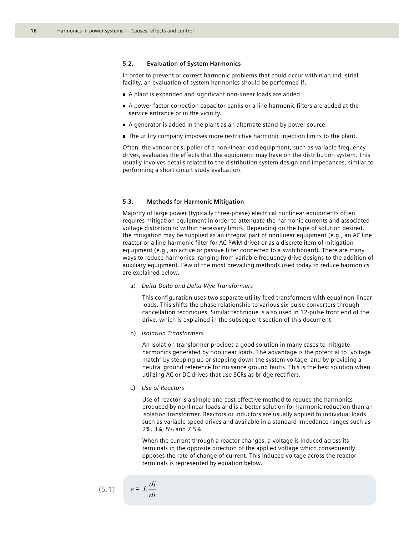#### **5.2. Evaluation of System Harmonics**

In order to prevent or correct harmonic problems that could occur within an industrial facility, an evaluation of system harmonics should be performed if:

- <sup>n</sup> A plant is expanded and significant non-linear loads are added
- <sup>n</sup> A power factor correction capacitor banks or a line harmonic filters are added at the service entrance or in the vicinity.
- <sup>n</sup> A generator is added in the plant as an alternate stand-by power source.
- The utility company imposes more restrictive harmonic injection limits to the plant.

Often, the vendor or supplier of a non-linear load equipment, such as variable frequency drives, evaluates the effects that the equipment may have on the distribution system. This usually involves details related to the distribution system design and impedances, similar to performing a short circuit study evaluation.

#### **5.3. Methods for Harmonic Mitigation**

Majority of large power (typically three-phase) electrical nonlinear equipments often requires mitigation equipment in order to attenuate the harmonic currents and associated voltage distortion to within necessary limits. Depending on the type of solution desired, the mitigation may be supplied as an integral part of nonlinear equipment (e.g., an AC line reactor or a line harmonic filter for AC PWM drive) or as a discrete item of mitigation equipment (e.g., an active or passive filter connected to a switchboard). There are many ways to reduce harmonics, ranging from variable frequency drive designs to the addition of auxiliary equipment. Few of the most prevailing methods used today to reduce harmonics are explained below.

a) *Delta-Delta and Delta-Wye Transformers*

This configuration uses two separate utility feed transformers with equal non-linear loads. This shifts the phase relationship to various six-pulse converters through cancellation techniques. Similar technique is also used in 12-pulse front end of the drive, which is explained in the subsequent section of this document

b) *Isolation Transformers*

An isolation transformer provides a good solution in many cases to mitigate harmonics generated by nonlinear loads. The advantage is the potential to "voltage match" by stepping up or stepping down the system voltage, and by providing a neutral ground reference for nuisance ground faults. This is the best solution when utilizing AC or DC drives that use SCRs as bridge rectifiers.

c) *Use of Reactors*

Use of reactor is a simple and cost effective method to reduce the harmonics produced by nonlinear loads and is a better solution for harmonic reduction than an isolation transformer. Reactors or inductors are usually applied to individual loads such as variable speed drives and available in a standard impedance ranges such as 2%, 3%, 5% and 7.5%.

When the current through a reactor changes, a voltage is induced across its terminals in the opposite direction of the applied voltage which consequently opposes the rate of change of current. This induced voltage across the reactor terminals is represented by equation below.

$$
(5.1) \qquad e=1
$$

$$
e = L \frac{di}{dt}
$$

 $\overline{J}$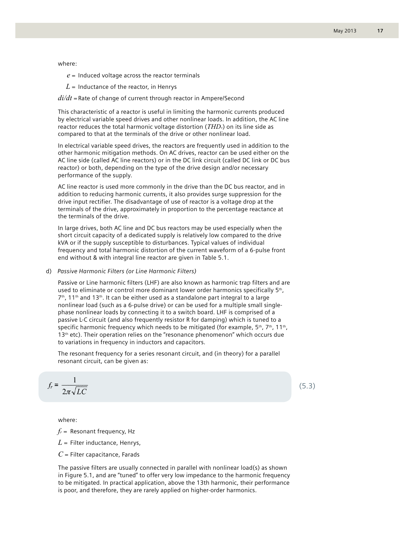where:

 $e$  = Induced voltage across the reactor terminals

 $L =$  Inductance of the reactor, in Henrys

*di/dt* = Rate of change of current through reactor in Ampere/Second

This characteristic of a reactor is useful in limiting the harmonic currents produced by electrical variable speed drives and other nonlinear loads. In addition, the AC line reactor reduces the total harmonic voltage distortion (*THDv*) on its line side as compared to that at the terminals of the drive or other nonlinear load.

In electrical variable speed drives, the reactors are frequently used in addition to the other harmonic mitigation methods. On AC drives, reactor can be used either on the AC line side (called AC line reactors) or in the DC link circuit (called DC link or DC bus reactor) or both, depending on the type of the drive design and/or necessary performance of the supply.

AC line reactor is used more commonly in the drive than the DC bus reactor, and in addition to reducing harmonic currents, it also provides surge suppression for the drive input rectifier. The disadvantage of use of reactor is a voltage drop at the terminals of the drive, approximately in proportion to the percentage reactance at the terminals of the drive.

In large drives, both AC line and DC bus reactors may be used especially when the short circuit capacity of a dedicated supply is relatively low compared to the drive kVA or if the supply susceptible to disturbances. Typical values of individual frequency and total harmonic distortion of the current waveform of a 6-pulse front end without & with integral line reactor are given in Table 5.1.

#### d) *Passive Harmonic Filters (or Line Harmonic Filters)*

Passive or Line harmonic filters (LHF) are also known as harmonic trap filters and are used to eliminate or control more dominant lower order harmonics specifically 5<sup>th</sup>,  $7<sup>th</sup>$ , 11<sup>th</sup> and 13<sup>th</sup>. It can be either used as a standalone part integral to a large nonlinear load (such as a 6-pulse drive) or can be used for a multiple small singlephase nonlinear loads by connecting it to a switch board. LHF is comprised of a passive L-C circuit (and also frequently resistor R for damping) which is tuned to a specific harmonic frequency which needs to be mitigated (for example,  $5<sup>th</sup>$ ,  $7<sup>th</sup>$ , 11<sup>th</sup>, 13<sup>th</sup> etc). Their operation relies on the "resonance phenomenon" which occurs due to variations in frequency in inductors and capacitors.

The resonant frequency for a series resonant circuit, and (in theory) for a parallel resonant circuit, can be given as:

$$
f_r = \frac{1}{2\pi\sqrt{LC}}
$$

where:

 $f_r$  = Resonant frequency, Hz

- $L$  = Filter inductance, Henrys,
- *C* = Filter capacitance, Farads

The passive filters are usually connected in parallel with nonlinear load(s) as shown in Figure 5.1, and are "tuned" to offer very low impedance to the harmonic frequency to be mitigated. In practical application, above the 13th harmonic, their performance is poor, and therefore, they are rarely applied on higher-order harmonics.

(5.3)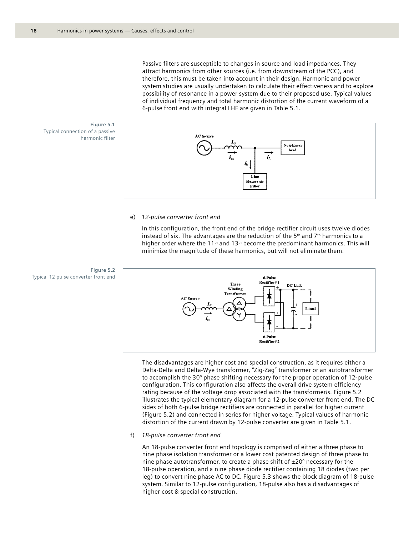Passive filters are susceptible to changes in source and load impedances. They attract harmonics from other sources (i.e. from downstream of the PCC), and therefore, this must be taken into account in their design. Harmonic and power system studies are usually undertaken to calculate their effectiveness and to explore possibility of resonance in a power system due to their proposed use. Typical values of individual frequency and total harmonic distortion of the current waveform of a 6-pulse front end with integral LHF are given in Table 5.1.



#### e) *12-pulse converter front end*

In this configuration, the front end of the bridge rectifier circuit uses twelve diodes instead of six. The advantages are the reduction of the  $5<sup>th</sup>$  and  $7<sup>th</sup>$  harmonics to a higher order where the 11<sup>th</sup> and 13<sup>th</sup> become the predominant harmonics. This will minimize the magnitude of these harmonics, but will not eliminate them.



The disadvantages are higher cost and special construction, as it requires either a Delta-Delta and Delta-Wye transformer, "Zig-Zag" transformer or an autotransformer to accomplish the 30° phase shifting necessary for the proper operation of 12-pulse configuration. This configuration also affects the overall drive system efficiency rating because of the voltage drop associated with the transformer/s. Figure 5.2 illustrates the typical elementary diagram for a 12-pulse converter front end. The DC sides of both 6-pulse bridge rectifiers are connected in parallel for higher current (Figure 5.2) and connected in series for higher voltage. Typical values of harmonic distortion of the current drawn by 12-pulse converter are given in Table 5.1.

#### f) *18-pulse converter front end*

An 18-pulse converter front end topology is comprised of either a three phase to nine phase isolation transformer or a lower cost patented design of three phase to nine phase autotransformer, to create a phase shift of  $\pm 20^\circ$  necessary for the 18-pulse operation, and a nine phase diode rectifier containing 18 diodes (two per leg) to convert nine phase AC to DC. Figure 5.3 shows the block diagram of 18-pulse system. Similar to 12-pulse configuration, 18-pulse also has a disadvantages of higher cost & special construction.

Typical connection of a passive harmonic filter

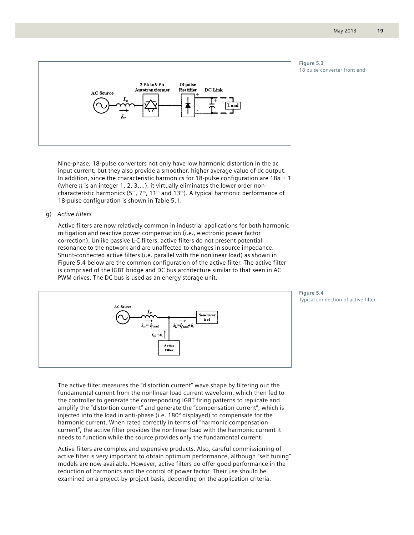



Nine-phase, 18-pulse converters not only have low harmonic distortion in the ac input current, but they also provide a smoother, higher average value of dc output. In addition, since the characteristic harmonics for 18-pulse configuration are 18*n* ± 1 (where *n* is an integer 1, 2, 3,…), it virtually eliminates the lower order noncharacteristic harmonics (5<sup>th</sup>, 7<sup>th</sup>, 11<sup>th</sup> and 13<sup>th</sup>). A typical harmonic performance of 18-pulse configuration is shown in Table 5.1.

#### g) *Active filters*

Active filters are now relatively common in industrial applications for both harmonic mitigation and reactive power compensation (i.e., electronic power factor correction). Unlike passive L-C filters, active filters do not present potential resonance to the network and are unaffected to changes in source impedance. Shunt-connected active filters (i.e. parallel with the nonlinear load) as shown in Figure 5.4 below are the common configuration of the active filter. The active filter is comprised of the IGBT bridge and DC bus architecture similar to that seen in AC PWM drives. The DC bus is used as an energy storage unit.



**Figure 5.4**  Typical connection of active filter

The active filter measures the "distortion current" wave shape by filtering out the fundamental current from the nonlinear load current waveform, which then fed to the controller to generate the corresponding IGBT firing patterns to replicate and amplify the "distortion current" and generate the "compensation current", which is injected into the load in anti-phase (i.e. 180° displayed) to compensate for the harmonic current. When rated correctly in terms of "harmonic compensation current", the active filter provides the nonlinear load with the harmonic current it needs to function while the source provides only the fundamental current.

Active filters are complex and expensive products. Also, careful commissioning of active filter is very important to obtain optimum performance, although "self tuning" models are now available. However, active filters do offer good performance in the reduction of harmonics and the control of power factor. Their use should be examined on a project-by-project basis, depending on the application criteria.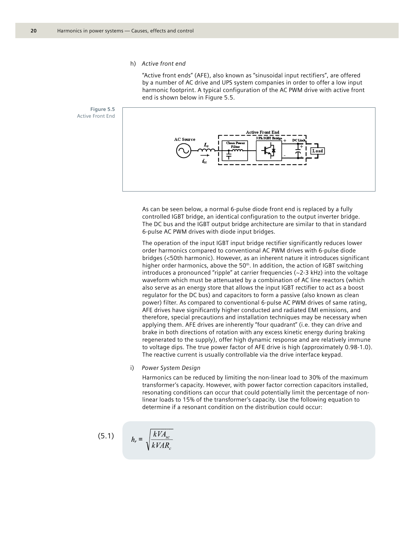h) *Active front end*

"Active front ends" (AFE), also known as "sinusoidal input rectifiers", are offered by a number of AC drive and UPS system companies in order to offer a low input harmonic footprint. A typical configuration of the AC PWM drive with active front end is shown below in Figure 5.5.



As can be seen below, a normal 6-pulse diode front end is replaced by a fully controlled IGBT bridge, an identical configuration to the output inverter bridge. The DC bus and the IGBT output bridge architecture are similar to that in standard 6-pulse AC PWM drives with diode input bridges.

The operation of the input IGBT input bridge rectifier significantly reduces lower order harmonics compared to conventional AC PWM drives with 6-pulse diode bridges (<50th harmonic). However, as an inherent nature it introduces significant higher order harmonics, above the  $50<sup>th</sup>$ . In addition, the action of IGBT switching introduces a pronounced "ripple" at carrier frequencies ( $\sim$ 2-3 kHz) into the voltage waveform which must be attenuated by a combination of AC line reactors (which also serve as an energy store that allows the input IGBT rectifier to act as a boost regulator for the DC bus) and capacitors to form a passive (also known as clean power) filter. As compared to conventional 6-pulse AC PWM drives of same rating, AFE drives have significantly higher conducted and radiated EMI emissions, and therefore, special precautions and installation techniques may be necessary when applying them. AFE drives are inherently "four quadrant" (i.e. they can drive and brake in both directions of rotation with any excess kinetic energy during braking regenerated to the supply), offer high dynamic response and are relatively immune to voltage dips. The true power factor of AFE drive is high (approximately 0.98-1.0). The reactive current is usually controllable via the drive interface keypad.

i) *Power System Design*

Harmonics can be reduced by limiting the non-linear load to 30% of the maximum transformer's capacity. However, with power factor correction capacitors installed, resonating conditions can occur that could potentially limit the percentage of nonlinear loads to 15% of the transformer's capacity. Use the following equation to determine if a resonant condition on the distribution could occur:

$$
(5.1) \t\t h_r:
$$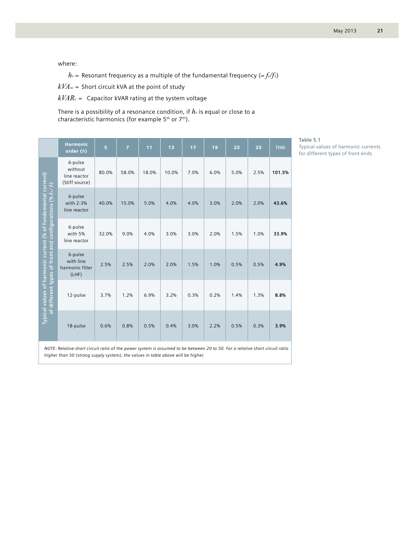where:

 $h_r$  = Resonant frequency as a multiple of the fundamental frequency (= $f_r/f_l$ )

*kVAsc* = Short circuit kVA at the point of study

 $kVAR<sub>c</sub>$  = Capacitor kVAR rating at the system voltage

There is a possibility of a resonance condition, if *hr* is equal or close to a characteristic harmonics (for example  $5<sup>th</sup>$  or  $7<sup>th</sup>$ ).

|                                                                                                                                                                                                                  | <b>Harmonic</b><br>order (h)                         | 5     | $\overline{7}$ | 11    | 13    | 17   | 19   | 23   | 25   | <b>THD</b> |
|------------------------------------------------------------------------------------------------------------------------------------------------------------------------------------------------------------------|------------------------------------------------------|-------|----------------|-------|-------|------|------|------|------|------------|
|                                                                                                                                                                                                                  | 6-pulse<br>without<br>line reactor<br>(Stiff source) | 80.0% | 58.0%          | 18.0% | 10.0% | 7.0% | 6.0% | 5.0% | 2.5% | 101.5%     |
|                                                                                                                                                                                                                  | 6-pulse<br>with 2-3%<br>line reactor                 | 40.0% | 15.0%          | 5.0%  | 4.0%  | 4.0% | 3.0% | 2.0% | 2.0% | 43.6%      |
|                                                                                                                                                                                                                  | 6-pulse<br>with 5%<br>line reactor                   | 32.0% | 9.0%           | 4.0%  | 3.0%  | 3.0% | 2.0% | 1.5% | 1.0% | 33.9%      |
| Typical values of harmonic current (% of fundamental current)<br>of different types of front end configurations (% $I_n/I$ )                                                                                     | 6-pulse<br>with line<br>harmonic filter<br>(LHF)     | 2.5%  | 2.5%           | 2.0%  | 2.0%  | 1.5% | 1.0% | 0.5% | 0.5% | 4.9%       |
|                                                                                                                                                                                                                  | 12-pulse                                             | 3.7%  | 1.2%           | 6.9%  | 3.2%  | 0.3% | 0.2% | 1.4% | 1.3% | 8.8%       |
|                                                                                                                                                                                                                  | 18-pulse                                             | 0.6%  | 0.8%           | 0.5%  | 0.4%  | 3.0% | 2.2% | 0.5% | 0.3% | 3.9%       |
| NOTE: Relative short circuit ratio of the power system is assumed to be between 20 to 50. For a relative short circuit ratio<br>higher than 50 (strong supply system), the values in table above will be higher. |                                                      |       |                |       |       |      |      |      |      |            |

**Table 5.1**  Typical values of harmonic currents

for different types of front ends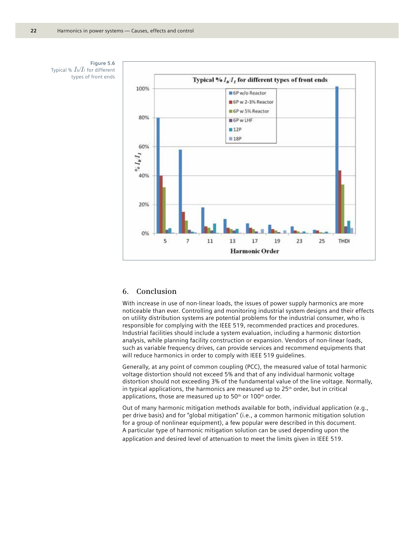



# **6. Conclusion**

With increase in use of non-linear loads, the issues of power supply harmonics are more noticeable than ever. Controlling and monitoring industrial system designs and their effects on utility distribution systems are potential problems for the industrial consumer, who is responsible for complying with the IEEE 519, recommended practices and procedures. Industrial facilities should include a system evaluation, including a harmonic distortion analysis, while planning facility construction or expansion. Vendors of non-linear loads, such as variable frequency drives, can provide services and recommend equipments that will reduce harmonics in order to comply with IEEE 519 guidelines.

Generally, at any point of common coupling (PCC), the measured value of total harmonic voltage distortion should not exceed 5% and that of any individual harmonic voltage distortion should not exceeding 3% of the fundamental value of the line voltage. Normally, in typical applications, the harmonics are measured up to  $25<sup>th</sup>$  order, but in critical applications, those are measured up to 50<sup>th</sup> or 100<sup>th</sup> order.

Out of many harmonic mitigation methods available for both, individual application (e.g., per drive basis) and for "global mitigation" (i.e., a common harmonic mitigation solution for a group of nonlinear equipment), a few popular were described in this document. A particular type of harmonic mitigation solution can be used depending upon the application and desired level of attenuation to meet the limits given in IEEE 519.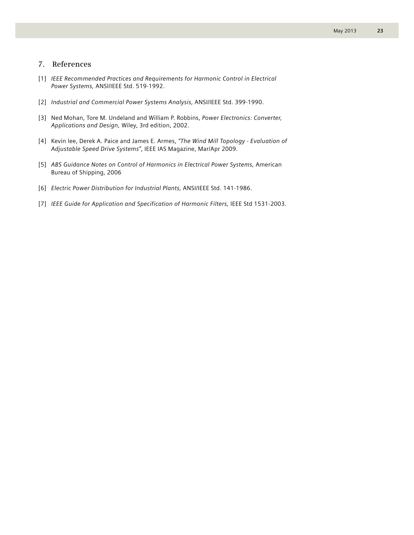# **7. References**

- [1] *IEEE Recommended Practices and Requirements for Harmonic Control in Electrical Power Systems,* ANSI/IEEE Std. 519-1992.
- [2] *Industrial and Commercial Power Systems Analysis,* ANSI/IEEE Std. 399-1990.
- [3] Ned Mohan, Tore M. Undeland and William P. Robbins, *Power Electronics: Converter, Applications and Design,* Wiley, 3rd edition, 2002.
- [4] Kevin lee, Derek A. Paice and James E. Armes, *"The Wind Mill Topology Evaluation of Adjustable Speed Drive Systems"*, IEEE IAS Magazine, Mar/Apr 2009.
- [5] *ABS Guidance Notes on Control of Harmonics in Electrical Power Systems,* American Bureau of Shipping, 2006
- [6] *Electric Power Distribution for Industrial Plants,* ANSI/IEEE Std. 141-1986.
- [7] *IEEE Guide for Application and Specification of Harmonic Filters,* IEEE Std 1531-2003.